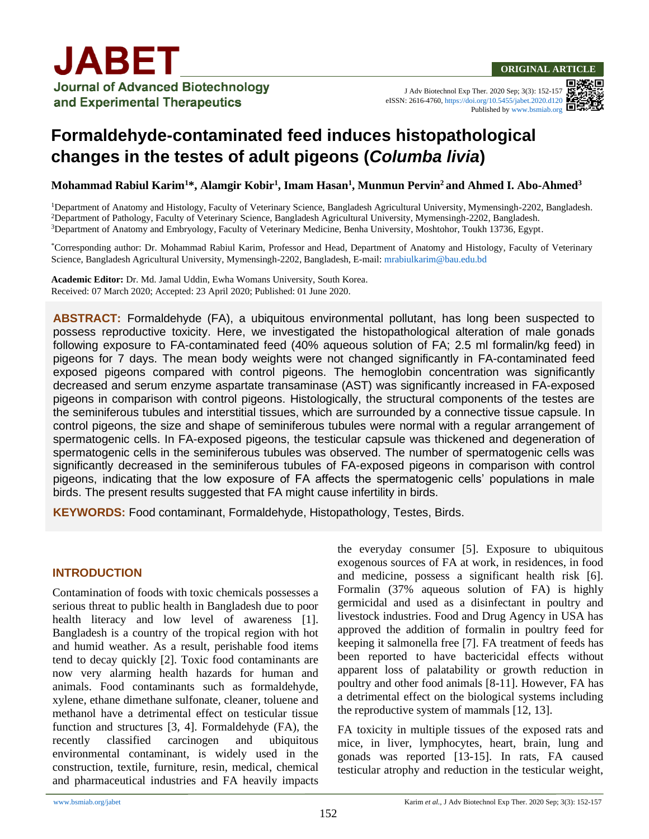J Adv Biotechnol Exp Ther. 2020 Sep; 3(3): 152-157 eISSN: 2616-4760[, https://doi.org/10.5455/jabet.2020.d120](https://doi.org/10.5455/jabet.2020.d120) Published b[y www.bsmiab.org](http://www.bsmiab.org/)

# **Formaldehyde-contaminated feed induces histopathological changes in the testes of adult pigeons (***Columba livia***)**

**Mohammad Rabiul Karim<sup>1</sup>\*, Alamgir Kobir<sup>1</sup> , Imam Hasan<sup>1</sup> , Munmun Pervin<sup>2</sup>and Ahmed I. Abo-Ahmed<sup>3</sup>**

<sup>1</sup>Department of Anatomy and Histology, Faculty of Veterinary Science, Bangladesh Agricultural University, Mymensingh-2202, Bangladesh. <sup>2</sup>Department of Pathology, Faculty of Veterinary Science, Bangladesh Agricultural University, Mymensingh-2202, Bangladesh. <sup>3</sup>Department of Anatomy and Embryology, Faculty of Veterinary Medicine, Benha University, Moshtohor, Toukh 13736, Egypt.

\*Corresponding author: Dr. Mohammad Rabiul Karim, Professor and Head, Department of Anatomy and Histology, Faculty of Veterinary Science, Bangladesh Agricultural University, Mymensingh-2202, Bangladesh, E-mail[: mrabiulkarim@bau.edu.bd](mailto:mrabiulkarim@bau.edu.bd)

**Academic Editor:** Dr. Md. Jamal Uddin, Ewha Womans University, South Korea. Received: 07 March 2020; Accepted: 23 April 2020; Published: 01 June 2020.

**ABSTRACT:** Formaldehyde (FA), a ubiquitous environmental pollutant, has long been suspected to possess reproductive toxicity. Here, we investigated the histopathological alteration of male gonads following exposure to FA-contaminated feed (40% aqueous solution of FA; 2.5 ml formalin/kg feed) in pigeons for 7 days. The mean body weights were not changed significantly in FA-contaminated feed exposed pigeons compared with control pigeons. The hemoglobin concentration was significantly decreased and serum enzyme aspartate transaminase (AST) was significantly increased in FA-exposed pigeons in comparison with control pigeons. Histologically, the structural components of the testes are the seminiferous tubules and interstitial tissues, which are surrounded by a connective tissue capsule. In control pigeons, the size and shape of seminiferous tubules were normal with a regular arrangement of spermatogenic cells. In FA-exposed pigeons, the testicular capsule was thickened and degeneration of spermatogenic cells in the seminiferous tubules was observed. The number of spermatogenic cells was significantly decreased in the seminiferous tubules of FA-exposed pigeons in comparison with control pigeons, indicating that the low exposure of FA affects the spermatogenic cells' populations in male birds. The present results suggested that FA might cause infertility in birds.

**KEYWORDS:** Food contaminant, Formaldehyde, Histopathology, Testes, Birds.

### **INTRODUCTION**

Contamination of foods with toxic chemicals possesses a serious threat to public health in Bangladesh due to poor health literacy and low level of awareness [1]. Bangladesh is a country of the tropical region with hot and humid weather. As a result, perishable food items tend to decay quickly [2]. Toxic food contaminants are now very alarming health hazards for human and animals. Food contaminants such as formaldehyde, xylene, ethane dimethane sulfonate, cleaner, toluene and methanol have a detrimental effect on testicular tissue function and structures [3, 4]. Formaldehyde (FA), the recently classified carcinogen and ubiquitous environmental contaminant, is widely used in the construction, textile, furniture, resin, medical, chemical and pharmaceutical industries and FA heavily impacts the everyday consumer [5]. Exposure to ubiquitous exogenous sources of FA at work, in residences, in food and medicine, possess a significant health risk [6]. Formalin (37% aqueous solution of FA) is highly germicidal and used as a disinfectant in poultry and livestock industries. Food and Drug Agency in USA has approved the addition of formalin in poultry feed for keeping it salmonella free [7]. FA treatment of feeds has been reported to have bactericidal effects without apparent loss of palatability or growth reduction in poultry and other food animals [8-11]. However, FA has a detrimental effect on the biological systems including the reproductive system of mammals [12, 13].

FA toxicity in multiple tissues of the exposed rats and mice, in liver, lymphocytes, heart, brain, lung and gonads was reported [13-15]. In rats, FA caused testicular atrophy and reduction in the testicular weight,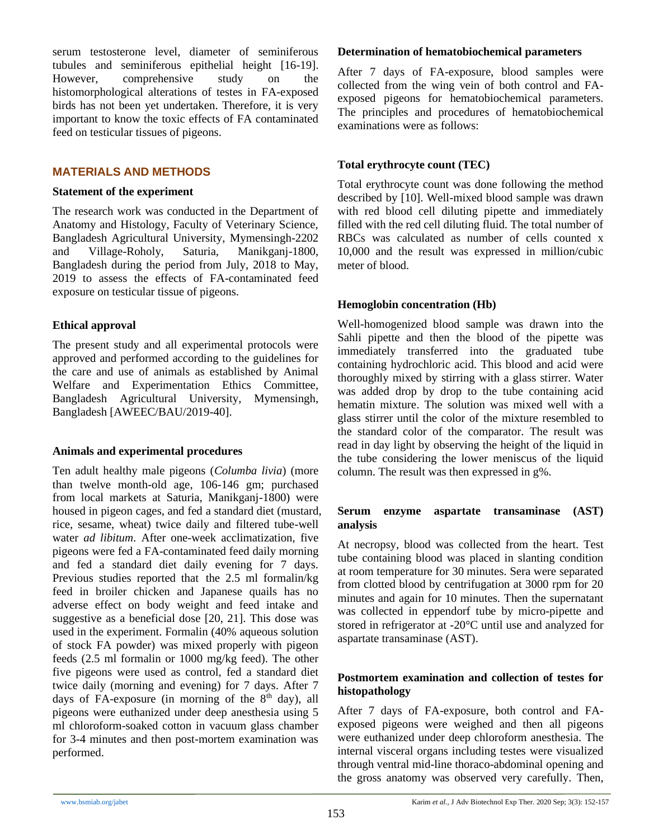serum testosterone level, diameter of seminiferous tubules and seminiferous epithelial height [16-19]. However, comprehensive study on the histomorphological alterations of testes in FA-exposed birds has not been yet undertaken. Therefore, it is very important to know the toxic effects of FA contaminated feed on testicular tissues of pigeons.

### **MATERIALS AND METHODS**

#### **Statement of the experiment**

The research work was conducted in the Department of Anatomy and Histology, Faculty of Veterinary Science, Bangladesh Agricultural University, Mymensingh-2202 and Village-Roholy, Saturia, Manikganj-1800, Bangladesh during the period from July, 2018 to May, 2019 to assess the effects of FA-contaminated feed exposure on testicular tissue of pigeons.

### **Ethical approval**

The present study and all experimental protocols were approved and performed according to the guidelines for the care and use of animals as established by Animal Welfare and Experimentation Ethics Committee, Bangladesh Agricultural University, Mymensingh, Bangladesh [AWEEC/BAU/2019-40].

### **Animals and experimental procedures**

Ten adult healthy male pigeons (*Columba livia*) (more than twelve month-old age, 106-146 gm; purchased from local markets at Saturia, Manikganj-1800) were housed in pigeon cages, and fed a standard diet (mustard, rice, sesame, wheat) twice daily and filtered tube-well water *ad libitum*. After one-week acclimatization, five pigeons were fed a FA-contaminated feed daily morning and fed a standard diet daily evening for 7 days. Previous studies reported that the 2.5 ml formalin/kg feed in broiler chicken and Japanese quails has no adverse effect on body weight and feed intake and suggestive as a beneficial dose [20, 21]. This dose was used in the experiment. Formalin (40% aqueous solution of stock FA powder) was mixed properly with pigeon feeds (2.5 ml formalin or 1000 mg/kg feed). The other five pigeons were used as control, fed a standard diet twice daily (morning and evening) for 7 days. After 7 days of FA-exposure (in morning of the  $8<sup>th</sup>$  day), all pigeons were euthanized under deep anesthesia using 5 ml chloroform-soaked cotton in vacuum glass chamber for 3-4 minutes and then post-mortem examination was performed.

### **Determination of hematobiochemical parameters**

After 7 days of FA-exposure, blood samples were collected from the wing vein of both control and FAexposed pigeons for hematobiochemical parameters. The principles and procedures of hematobiochemical examinations were as follows:

### **Total erythrocyte count (TEC)**

Total erythrocyte count was done following the method described by [10]. Well-mixed blood sample was drawn with red blood cell diluting pipette and immediately filled with the red cell diluting fluid. The total number of RBCs was calculated as number of cells counted x 10,000 and the result was expressed in million/cubic meter of blood.

### **Hemoglobin concentration (Hb)**

Well-homogenized blood sample was drawn into the Sahli pipette and then the blood of the pipette was immediately transferred into the graduated tube containing hydrochloric acid. This blood and acid were thoroughly mixed by stirring with a glass stirrer. Water was added drop by drop to the tube containing acid hematin mixture. The solution was mixed well with a glass stirrer until the color of the mixture resembled to the standard color of the comparator. The result was read in day light by observing the height of the liquid in the tube considering the lower meniscus of the liquid column. The result was then expressed in g%.

### **Serum enzyme aspartate transaminase (AST) analysis**

At necropsy, blood was collected from the heart. Test tube containing blood was placed in slanting condition at room temperature for 30 minutes. Sera were separated from clotted blood by centrifugation at 3000 rpm for 20 minutes and again for 10 minutes. Then the supernatant was collected in eppendorf tube by micro-pipette and stored in refrigerator at -20°C until use and analyzed for aspartate transaminase (AST).

### **Postmortem examination and collection of testes for histopathology**

After 7 days of FA-exposure, both control and FAexposed pigeons were weighed and then all pigeons were euthanized under deep chloroform anesthesia. The internal visceral organs including testes were visualized through ventral mid-line thoraco-abdominal opening and the gross anatomy was observed very carefully. Then,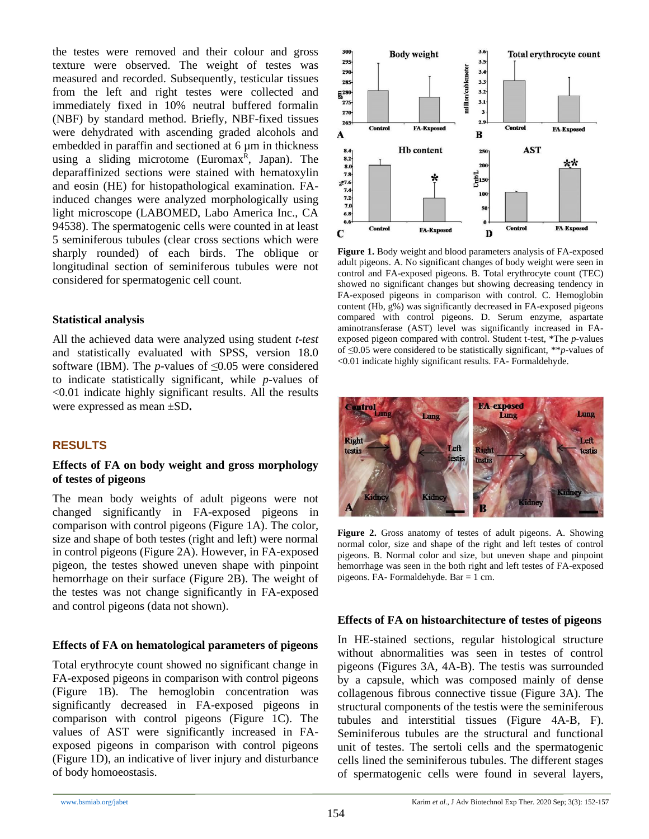the testes were removed and their colour and gross texture were observed. The weight of testes was measured and recorded. Subsequently, testicular tissues from the left and right testes were collected and immediately fixed in 10% neutral buffered formalin (NBF) by standard method. Briefly, NBF-fixed tissues were dehydrated with ascending graded alcohols and embedded in paraffin and sectioned at 6  $\mu$ m in thickness using a sliding microtome (Euromax<sup>R</sup>, Japan). The deparaffinized sections were stained with hematoxylin and eosin (HE) for histopathological examination. FAinduced changes were analyzed morphologically using light microscope (LABOMED, Labo America Inc., CA 94538). The spermatogenic cells were counted in at least 5 seminiferous tubules (clear cross sections which were sharply rounded) of each birds. The oblique or longitudinal section of seminiferous tubules were not considered for spermatogenic cell count.

### **Statistical analysis**

All the achieved data were analyzed using student *t-test* and statistically evaluated with SPSS, version 18.0 software (IBM). The *p*-values of  $\leq 0.05$  were considered to indicate statistically significant, while *p-*values of <0.01 indicate highly significant results. All the results were expressed as mean ±SD**.**

# **RESULTS**

### **Effects of FA on body weight and gross morphology of testes of pigeons**

The mean body weights of adult pigeons were not changed significantly in FA-exposed pigeons in comparison with control pigeons (Figure 1A). The color, size and shape of both testes (right and left) were normal in control pigeons (Figure 2A). However, in FA-exposed pigeon, the testes showed uneven shape with pinpoint hemorrhage on their surface (Figure 2B). The weight of the testes was not change significantly in FA-exposed and control pigeons (data not shown).

### **Effects of FA on hematological parameters of pigeons**

Total erythrocyte count showed no significant change in FA-exposed pigeons in comparison with control pigeons (Figure 1B). The hemoglobin concentration was significantly decreased in FA-exposed pigeons in comparison with control pigeons (Figure 1C). The values of AST were significantly increased in FAexposed pigeons in comparison with control pigeons (Figure 1D), an indicative of liver injury and disturbance of body homoeostasis.



**Figure 1.** Body weight and blood parameters analysis of FA-exposed adult pigeons. A. No significant changes of body weight were seen in control and FA-exposed pigeons. B. Total erythrocyte count (TEC) showed no significant changes but showing decreasing tendency in FA-exposed pigeons in comparison with control. C. Hemoglobin content (Hb, g%) was significantly decreased in FA-exposed pigeons compared with control pigeons. D. Serum enzyme, aspartate aminotransferase (AST) level was significantly increased in FAexposed pigeon compared with control. Student t-test, \*The *p*-values of ≤0.05 were considered to be statistically significant, \*\**p-*values of <0.01 indicate highly significant results. FA- Formaldehyde.



**Figure 2.** Gross anatomy of testes of adult pigeons. A. Showing normal color, size and shape of the right and left testes of control pigeons. B. Normal color and size, but uneven shape and pinpoint hemorrhage was seen in the both right and left testes of FA-exposed pigeons. FA- Formaldehyde. Bar = 1 cm.

### **Effects of FA on histoarchitecture of testes of pigeons**

In HE-stained sections, regular histological structure without abnormalities was seen in testes of control pigeons (Figures 3A, 4A-B). The testis was surrounded by a capsule, which was composed mainly of dense collagenous fibrous connective tissue (Figure 3A). The structural components of the testis were the seminiferous tubules and interstitial tissues (Figure 4A-B, F). Seminiferous tubules are the structural and functional unit of testes. The sertoli cells and the spermatogenic cells lined the seminiferous tubules. The different stages of spermatogenic cells were found in several layers,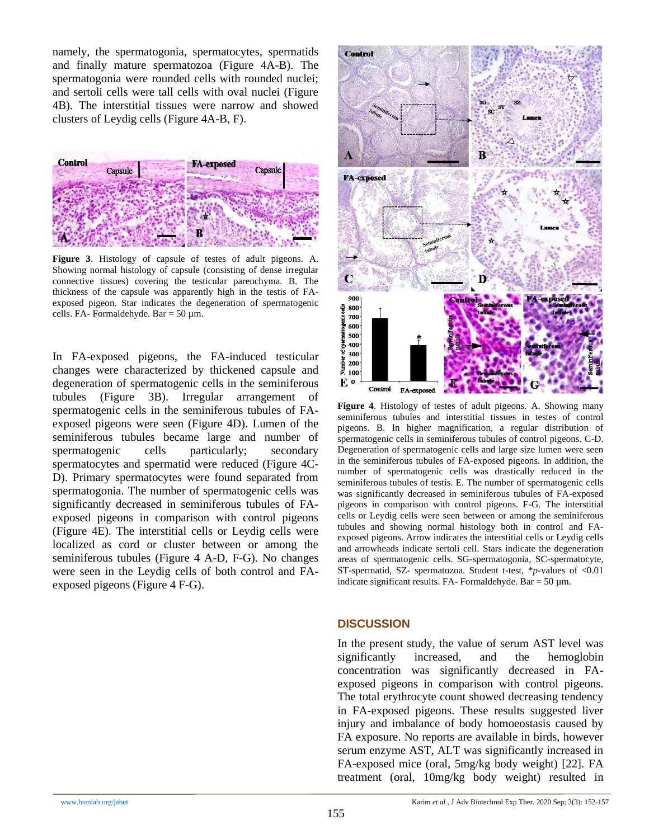namely, the spermatogonia, spermatocytes, spermatids and finally mature spermatozoa (Figure 4A-B). The spermatogonia were rounded cells with rounded nuclei; and sertoli cells were tall cells with oval nuclei (Figure 4B). The interstitial tissues were narrow and showed clusters of Leydig cells (Figure 4A-B, F).



**Figure 3**. Histology of capsule of testes of adult pigeons. A. Showing normal histology of capsule (consisting of dense irregular connective tissues) covering the testicular parenchyma. B. The thickness of the capsule was apparently high in the testis of FAexposed pigeon. Star indicates the degeneration of spermatogenic cells. FA- Formaldehyde. Bar =  $50 \mu$ m.

In FA-exposed pigeons, the FA-induced testicular changes were characterized by thickened capsule and degeneration of spermatogenic cells in the seminiferous tubules (Figure 3B). Irregular arrangement of spermatogenic cells in the seminiferous tubules of FAexposed pigeons were seen (Figure 4D). Lumen of the seminiferous tubules became large and number of spermatogenic cells particularly; secondary spermatocytes and spermatid were reduced (Figure 4C-D). Primary spermatocytes were found separated from spermatogonia. The number of spermatogenic cells was significantly decreased in seminiferous tubules of FAexposed pigeons in comparison with control pigeons (Figure 4E). The interstitial cells or Leydig cells were localized as cord or cluster between or among the seminiferous tubules (Figure 4 A-D, F-G). No changes were seen in the Leydig cells of both control and FAexposed pigeons (Figure 4 F-G).



**Figure 4**. Histology of testes of adult pigeons. A. Showing many seminiferous tubules and interstitial tissues in testes of control pigeons. B. In higher magnification, a regular distribution of spermatogenic cells in seminiferous tubules of control pigeons. C-D. Degeneration of spermatogenic cells and large size lumen were seen in the seminiferous tubules of FA-exposed pigeons. In addition, the number of spermatogenic cells was drastically reduced in the seminiferous tubules of testis. E. The number of spermatogenic cells was significantly decreased in seminiferous tubules of FA-exposed pigeons in comparison with control pigeons. F-G. The interstitial cells or Leydig cells were seen between or among the seminiferous tubules and showing normal histology both in control and FAexposed pigeons. Arrow indicates the interstitial cells or Leydig cells and arrowheads indicate sertoli cell. Stars indicate the degeneration areas of spermatogenic cells. SG-spermatogonia, SC-spermatocyte, ST-spermatid, SZ- spermatozoa. Student t-test, \**p-*values of <0.01 indicate significant results. FA- Formaldehyde. Bar =  $50 \mu$ m.

### **DISCUSSION**

In the present study, the value of serum AST level was significantly increased, and the hemoglobin concentration was significantly decreased in FAexposed pigeons in comparison with control pigeons. The total erythrocyte count showed decreasing tendency in FA-exposed pigeons. These results suggested liver injury and imbalance of body homoeostasis caused by FA exposure. No reports are available in birds, however serum enzyme AST, ALT was significantly increased in FA-exposed mice (oral, 5mg/kg body weight) [22]. FA treatment (oral, 10mg/kg body weight) resulted in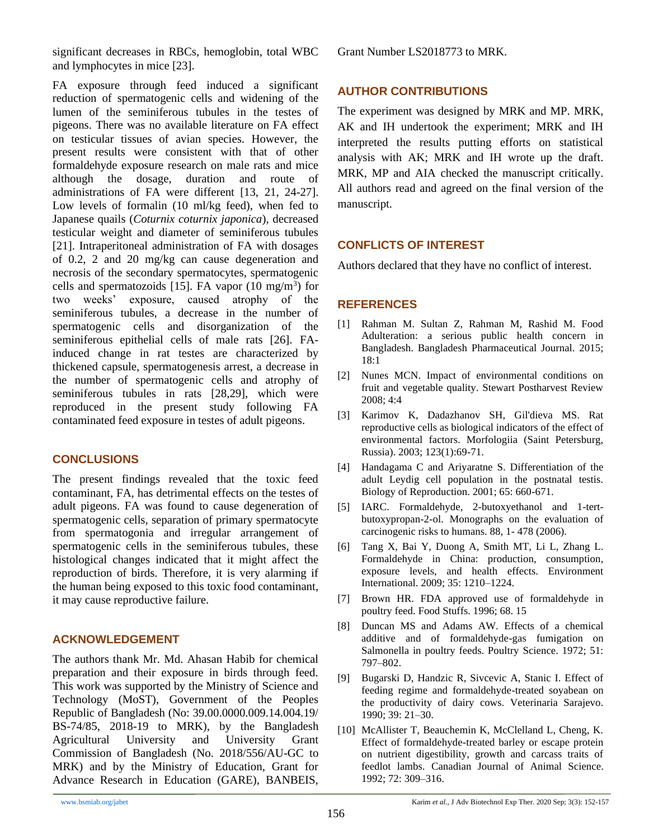significant decreases in RBCs, hemoglobin, total WBC and lymphocytes in mice [23].

FA exposure through feed induced a significant reduction of spermatogenic cells and widening of the lumen of the seminiferous tubules in the testes of pigeons. There was no available literature on FA effect on testicular tissues of avian species. However, the present results were consistent with that of other formaldehyde exposure research on male rats and mice although the dosage, duration and route of administrations of FA were different [13, 21, 24-27]. Low levels of formalin (10 ml/kg feed), when fed to Japanese quails (*Coturnix coturnix japonica*), decreased testicular weight and diameter of seminiferous tubules [21]. Intraperitoneal administration of FA with dosages of 0.2, 2 and 20 mg/kg can cause degeneration and necrosis of the secondary spermatocytes, spermatogenic cells and spermatozoids [15]. FA vapor  $(10 \text{ mg/m}^3)$  for two weeks' exposure, caused atrophy of the seminiferous tubules, a decrease in the number of spermatogenic cells and disorganization of the seminiferous epithelial cells of male rats [26]. FAinduced change in rat testes are characterized by thickened capsule, spermatogenesis arrest, a decrease in the number of spermatogenic cells and atrophy of seminiferous tubules in rats [28,29], which were reproduced in the present study following FA contaminated feed exposure in testes of adult pigeons.

### **CONCLUSIONS**

The present findings revealed that the toxic feed contaminant, FA, has detrimental effects on the testes of adult pigeons. FA was found to cause degeneration of spermatogenic cells, separation of primary spermatocyte from spermatogonia and irregular arrangement of spermatogenic cells in the seminiferous tubules, these histological changes indicated that it might affect the reproduction of birds. Therefore, it is very alarming if the human being exposed to this toxic food contaminant, it may cause reproductive failure.

### **ACKNOWLEDGEMENT**

The authors thank Mr. Md. Ahasan Habib for chemical preparation and their exposure in birds through feed. This work was supported by the Ministry of Science and Technology (MoST), Government of the Peoples Republic of Bangladesh (No: 39.00.0000.009.14.004.19/ BS-74/85, 2018-19 to MRK), by the Bangladesh Agricultural University and University Grant Commission of Bangladesh (No. 2018/556/AU-GC to MRK) and by the Ministry of Education, Grant for Advance Research in Education (GARE), BANBEIS, Grant Number LS2018773 to MRK.

## **AUTHOR CONTRIBUTIONS**

The experiment was designed by MRK and MP. MRK, AK and IH undertook the experiment; MRK and IH interpreted the results putting efforts on statistical analysis with AK; MRK and IH wrote up the draft. MRK, MP and AIA checked the manuscript critically. All authors read and agreed on the final version of the manuscript.

### **CONFLICTS OF INTEREST**

Authors declared that they have no conflict of interest.

### **REFERENCES**

- [1] Rahman M. Sultan Z, Rahman M, Rashid M. Food Adulteration: a serious public health concern in Bangladesh. Bangladesh Pharmaceutical Journal. 2015; 18:1
- [2] Nunes MCN. Impact of environmental conditions on fruit and vegetable quality. Stewart Postharvest Review 2008; 4:4
- [3] Karimov K, Dadazhanov SH, Gil'dieva MS. Rat reproductive cells as biological indicators of the effect of environmental factors. Morfologiia (Saint Petersburg, Russia). 2003; 123(1):69-71.
- [4] Handagama C and Ariyaratne S. Differentiation of the adult Leydig cell population in the postnatal testis. Biology of Reproduction. 2001; 65: 660-671.
- [5] IARC. Formaldehyde, 2-butoxyethanol and 1-tertbutoxypropan-2-ol. Monographs on the evaluation of carcinogenic risks to humans. 88, 1- 478 (2006).
- [6] Tang X, Bai Y, Duong A, Smith MT, Li L, Zhang L. Formaldehyde in China: production, consumption, exposure levels, and health effects. Environment International. 2009; 35: 1210–1224.
- [7] Brown HR. FDA approved use of formaldehyde in poultry feed. Food Stuffs. 1996; 68. 15
- [8] Duncan MS and Adams AW. Effects of a chemical additive and of formaldehyde-gas fumigation on Salmonella in poultry feeds. Poultry Science. 1972; 51: 797–802.
- [9] Bugarski D, Handzic R, Sivcevic A, Stanic I. Effect of feeding regime and formaldehyde-treated soyabean on the productivity of dairy cows. Veterinaria Sarajevo. 1990; 39: 21–30.
- [10] McAllister T, Beauchemin K, McClelland L, Cheng, K. Effect of formaldehyde-treated barley or escape protein on nutrient digestibility, growth and carcass traits of feedlot lambs. Canadian Journal of Animal Science. 1992; 72: 309–316.